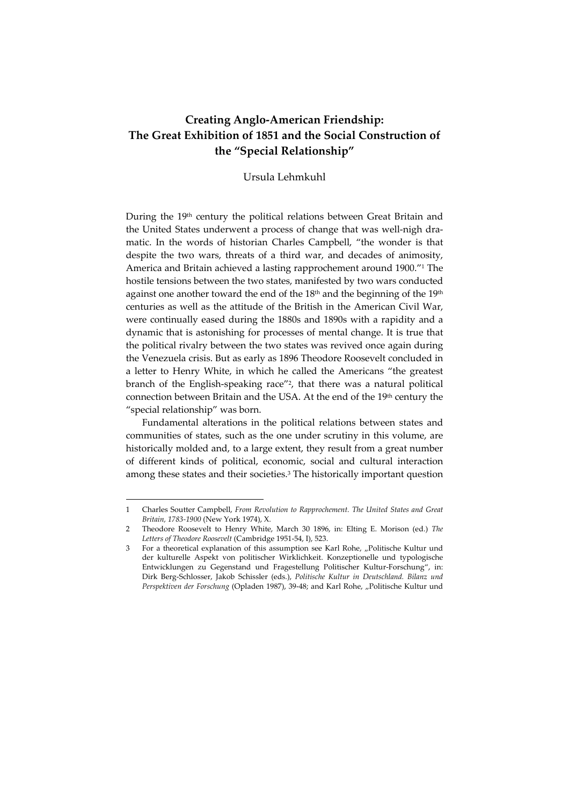# **Creating Anglo‐American Friendship: The Great Exhibition of 1851 and the Social Construction of the "Special Relationship"**

### Ursula Lehmkuhl

During the 19<sup>th</sup> century the political relations between Great Britain and the United States underwent a process of change that was well-nigh dramatic. In the words of historian Charles Campbell, "the wonder is that despite the two wars, threats of a third war, and decades of animosity, America and Britain achieved a lasting rapprochement around 1900."1 The hostile tensions between the two states, manifested by two wars conducted against one another toward the end of the 18<sup>th</sup> and the beginning of the 19<sup>th</sup> centuries as well as the attitude of the British in the American Civil War, were continually eased during the 1880s and 1890s with a rapidity and a dynamic that is astonishing for processes of mental change. It is true that the political rivalry between the two states was revived once again during the Venezuela crisis. But as early as 1896 Theodore Roosevelt concluded in a letter to Henry White, in which he called the Americans "the greatest branch of the English‐speaking race"2, that there was a natural political connection between Britain and the USA. At the end of the 19th century the "special relationship" was born.

Fundamental alterations in the political relations between states and communities of states, such as the one under scrutiny in this volume, are historically molded and, to a large extent, they result from a great number of different kinds of political, economic, social and cultural interaction among these states and their societies.3 The historically important question

<sup>1</sup> Charles Soutter Campbell, *From Revolution to Rapprochement. The United States and Great Britain, 1783‐1900* (New York 1974), X.

<sup>2</sup> Theodore Roosevelt to Henry White, March 30 1896, in: Elting E. Morison (ed.) *The Letters of Theodore Roosevelt* (Cambridge 1951‐54, I), 523.

<sup>3</sup> For a theoretical explanation of this assumption see Karl Rohe, "Politische Kultur und der kulturelle Aspekt von politischer Wirklichkeit. Konzeptionelle und typologische Entwicklungen zu Gegenstand und Fragestellung Politischer Kultur‐Forschung", in: Dirk Berg‐Schlosser, Jakob Schissler (eds.), *Politische Kultur in Deutschland. Bilanz und Perspektiven der Forschung* (Opladen 1987), 39‐48; and Karl Rohe, "Politische Kultur und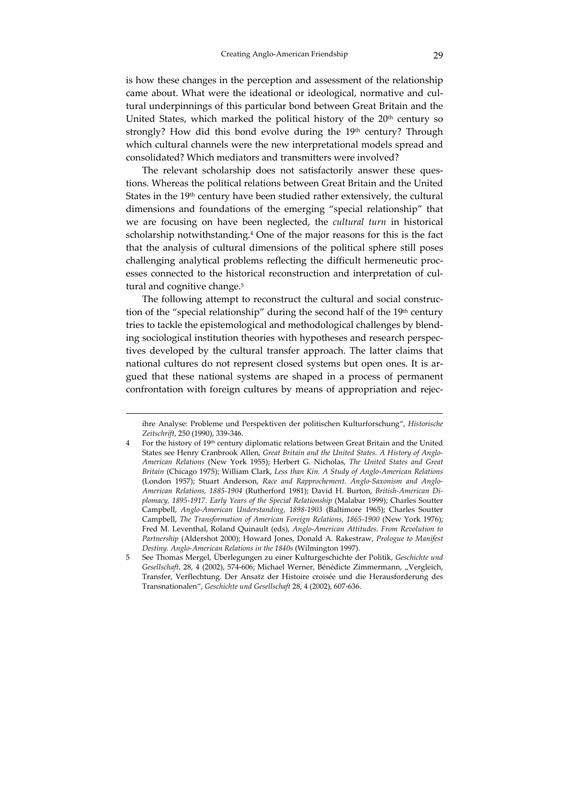is how these changes in the perception and assessment of the relationship came about. What were the ideational or ideological, normative and cultural underpinnings of this particular bond between Great Britain and the United States, which marked the political history of the 20<sup>th</sup> century so strongly? How did this bond evolve during the 19<sup>th</sup> century? Through which cultural channels were the new interpretational models spread and consolidated? Which mediators and transmitters were involved?

The relevant scholarship does not satisfactorily answer these questions. Whereas the political relations between Great Britain and the United States in the 19<sup>th</sup> century have been studied rather extensively, the cultural dimensions and foundations of the emerging "special relationship" that we are focusing on have been neglected, the *cultural turn* in historical scholarship notwithstanding.4 One of the major reasons for this is the fact that the analysis of cultural dimensions of the political sphere still poses challenging analytical problems reflecting the difficult hermeneutic processes connected to the historical reconstruction and interpretation of cultural and cognitive change.<sup>5</sup>

The following attempt to reconstruct the cultural and social construction of the "special relationship" during the second half of the 19<sup>th</sup> century tries to tackle the epistemological and methodological challenges by blend‐ ing sociological institution theories with hypotheses and research perspec‐ tives developed by the cultural transfer approach. The latter claims that national cultures do not represent closed systems but open ones. It is argued that these national systems are shaped in a process of permanent confrontation with foreign cultures by means of appropriation and rejec-

ihre Analyse: Probleme und Perspektiven der politischen Kulturforschung", *Historische Zeitschrift*, 250 (1990), 339‐346.

<sup>4</sup> For the history of 19th century diplomatic relations between Great Britain and the United States see Henry Cranbrook Allen, *Great Britain and the United States. A History of Anglo‐ American Relations* (New York 1955); Herbert G. Nicholas, *The United States and Great Britain* (Chicago 1975); William Clark, *Less than Kin. A Study of Anglo‐American Relations* (London 1957); Stuart Anderson, *Race and Rapprochement. Anglo‐Saxonism and Anglo‐ American Relations, 1885‐1904* (Rutherford 1981); David H. Burton, *British‐American Di‐ plomacy, 1895‐1917. Early Years of the Special Relationship* (Malabar 1999); Charles Soutter Campbell, *Anglo‐American Understanding, 1898‐1903* (Baltimore 1965); Charles Soutter Campbell, *The Transformation of American Foreign Relations, 1865‐1900* (New York 1976); Fred M. Leventhal, Roland Quinault (eds), *Anglo‐American Attitudes. From Revolution to Partnership* (Aldershot 2000); Howard Jones, Donald A. Rakestraw, *Prologue to Manifest Destiny. Anglo‐American Relations in the 1840s* (Wilmington 1997).

<sup>5</sup> See Thomas Mergel, Überlegungen zu einer Kulturgeschichte der Politik, *Geschichte und Gesellschaft*, 28, 4 (2002), 574‐606; Michael Werner, Bénédicte Zimmermann, "Vergleich, Transfer, Verflechtung. Der Ansatz der Histoire croisée und die Herausforderung des Transnationalen", *Geschichte und Gesellschaft* 28, 4 (2002), 607‐636.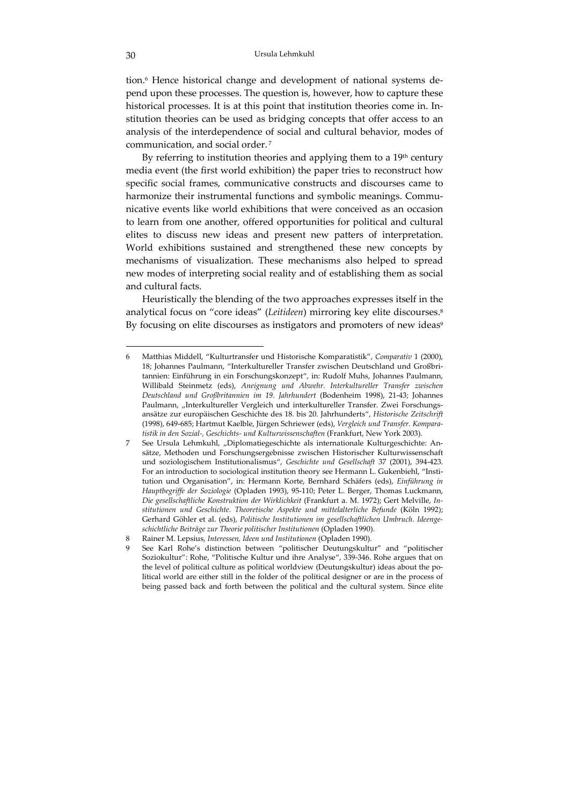tion.<sup>6</sup> Hence historical change and development of national systems depend upon these processes. The question is, however, how to capture these historical processes. It is at this point that institution theories come in. Institution theories can be used as bridging concepts that offer access to an analysis of the interdependence of social and cultural behavior, modes of communication, and social order. <sup>7</sup>

By referring to institution theories and applying them to a  $19<sup>th</sup>$  century media event (the first world exhibition) the paper tries to reconstruct how specific social frames, communicative constructs and discourses came to harmonize their instrumental functions and symbolic meanings. Communicative events like world exhibitions that were conceived as an occasion to learn from one another, offered opportunities for political and cultural elites to discuss new ideas and present new patters of interpretation. World exhibitions sustained and strengthened these new concepts by mechanisms of visualization. These mechanisms also helped to spread new modes of interpreting social reality and of establishing them as social and cultural facts.

Heuristically the blending of the two approaches expresses itself in the analytical focus on "core ideas" (*Leitideen*) mirroring key elite discourses.8 By focusing on elite discourses as instigators and promoters of new ideas<sup>9</sup>

<sup>6</sup> Matthias Middell, "Kulturtransfer und Historische Komparatistik", *Comparativ* 1 (2000), 18; Johannes Paulmann, "Interkultureller Transfer zwischen Deutschland und Großbri‐ tannien: Einführung in ein Forschungskonzept", in: Rudolf Muhs, Johannes Paulmann, Willibald Steinmetz (eds), *Aneignung und Abwehr. Interkultureller Transfer zwischen Deutschland und Großbritannien im 19. Jahrhundert* (Bodenheim 1998), 21‐43; Johannes Paulmann, "Interkultureller Vergleich und interkultureller Transfer. Zwei Forschungsansätze zur europäischen Geschichte des 18. bis 20. Jahrhunderts", *Historische Zeitschrift* (1998), 649‐685; Hartmut Kaelble, Jürgen Schriewer (eds), *Vergleich und Transfer. Kompara‐ tistik in den Sozial‐, Geschichts‐ und Kulturwissenschaften* (Frankfurt, New York 2003).

<sup>7</sup> See Ursula Lehmkuhl, "Diplomatiegeschichte als internationale Kulturgeschichte: An‐ sätze, Methoden und Forschungsergebnisse zwischen Historischer Kulturwissenschaft und soziologischem Institutionalismus", *Geschichte und Gesellschaft* 37 (2001), 394‐423. For an introduction to sociological institution theory see Hermann L. Gukenbiehl, "Institution und Organisation", in: Hermann Korte, Bernhard Schäfers (eds), *Einführung in Hauptbegriffe der Soziologie* (Opladen 1993), 95‐110; Peter L. Berger, Thomas Luckmann, *Die gesellschaftliche Konstruktion der Wirklichkeit* (Frankfurt a. M. 1972); Gert Melville, *In‐ stitutionen und Geschichte. Theoretische Aspekte und mittelalterliche Befunde* (Köln 1992); Gerhard Göhler et al. (eds), *Politische Institutionen im gesellschaftlichen Umbruch. Ideenge‐ schichtliche Beiträge zur Theorie politischer Institutionen* (Opladen 1990).

<sup>8</sup> Rainer M. Lepsius, *Interessen, Ideen und Institutionen* (Opladen 1990).

See Karl Rohe's distinction between "politischer Deutungskultur" and "politischer Soziokultur": Rohe, "Politische Kultur und ihre Analyse", 339‐346. Rohe argues that on the level of political culture as political worldview (Deutungskultur) ideas about the political world are either still in the folder of the political designer or are in the process of being passed back and forth between the political and the cultural system. Since elite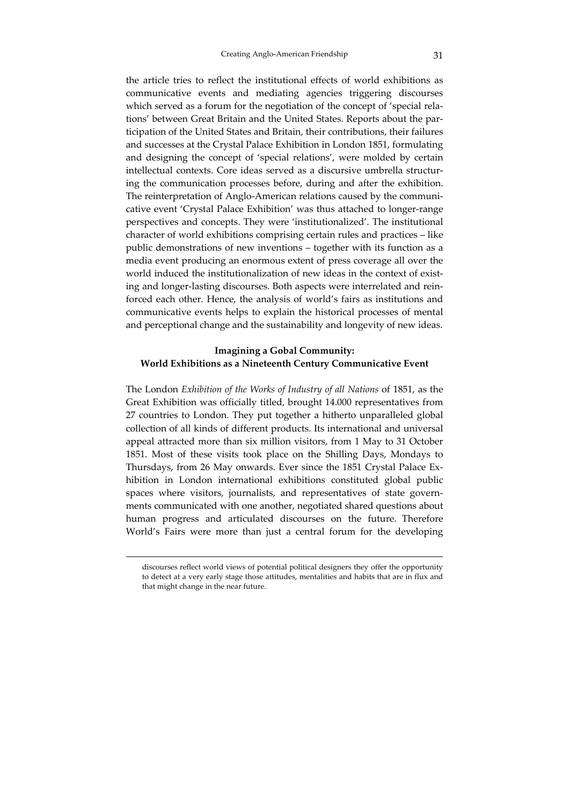the article tries to reflect the institutional effects of world exhibitions as communicative events and mediating agencies triggering discourses which served as a forum for the negotiation of the concept of 'special relations' between Great Britain and the United States. Reports about the par‐ ticipation of the United States and Britain, their contributions, their failures and successes at the Crystal Palace Exhibition in London 1851, formulating and designing the concept of 'special relations', were molded by certain intellectual contexts. Core ideas served as a discursive umbrella structur‐ ing the communication processes before, during and after the exhibition. The reinterpretation of Anglo-American relations caused by the communicative event 'Crystal Palace Exhibition' was thus attached to longer‐range perspectives and concepts. They were 'institutionalized'. The institutional character of world exhibitions comprising certain rules and practices – like public demonstrations of new inventions – together with its function as a media event producing an enormous extent of press coverage all over the world induced the institutionalization of new ideas in the context of existing and longer-lasting discourses. Both aspects were interrelated and reinforced each other. Hence, the analysis of world's fairs as institutions and communicative events helps to explain the historical processes of mental and perceptional change and the sustainability and longevity of new ideas.

# **Imagining a Gobal Community: World Exhibitions as a Nineteenth Century Communicative Event**

The London *Exhibition of the Works of Industry of all Nations* of 1851, as the Great Exhibition was officially titled, brought 14.000 representatives from 27 countries to London. They put together a hitherto unparalleled global collection of all kinds of different products. Its international and universal appeal attracted more than six million visitors, from 1 May to 31 October 1851. Most of these visits took place on the Shilling Days, Mondays to Thursdays, from 26 May onwards. Ever since the 1851 Crystal Palace Ex‐ hibition in London international exhibitions constituted global public spaces where visitors, journalists, and representatives of state governments communicated with one another, negotiated shared questions about human progress and articulated discourses on the future. Therefore World's Fairs were more than just a central forum for the developing

discourses reflect world views of potential political designers they offer the opportunity to detect at a very early stage those attitudes, mentalities and habits that are in flux and that might change in the near future.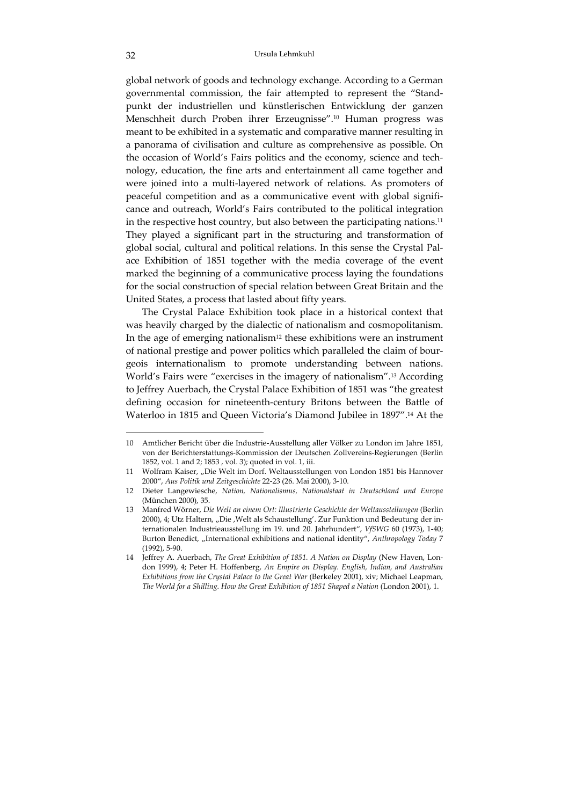global network of goods and technology exchange. According to a German governmental commission, the fair attempted to represent the "Stand‐ punkt der industriellen und künstlerischen Entwicklung der ganzen Menschheit durch Proben ihrer Erzeugnisse".10 Human progress was meant to be exhibited in a systematic and comparative manner resulting in a panorama of civilisation and culture as comprehensive as possible. On the occasion of World's Fairs politics and the economy, science and technology, education, the fine arts and entertainment all came together and were joined into a multi-layered network of relations. As promoters of peaceful competition and as a communicative event with global significance and outreach, World's Fairs contributed to the political integration in the respective host country, but also between the participating nations.<sup>11</sup> They played a significant part in the structuring and transformation of global social, cultural and political relations. In this sense the Crystal Pal‐ ace Exhibition of 1851 together with the media coverage of the event marked the beginning of a communicative process laying the foundations for the social construction of special relation between Great Britain and the United States, a process that lasted about fifty years.

The Crystal Palace Exhibition took place in a historical context that was heavily charged by the dialectic of nationalism and cosmopolitanism. In the age of emerging nationalism<sup>12</sup> these exhibitions were an instrument of national prestige and power politics which paralleled the claim of bour‐ geois internationalism to promote understanding between nations. World's Fairs were "exercises in the imagery of nationalism".13 According to Jeffrey Auerbach, the Crystal Palace Exhibition of 1851 was "the greatest defining occasion for nineteenth‐century Britons between the Battle of Waterloo in 1815 and Queen Victoria's Diamond Jubilee in 1897".14 At the

<sup>10</sup> Amtlicher Bericht über die Industrie‐Ausstellung aller Völker zu London im Jahre 1851, von der Berichterstattungs‐Kommission der Deutschen Zollvereins‐Regierungen (Berlin 1852, vol. 1 and 2; 1853 , vol. 3); quoted in vol. 1, iii.

<sup>11</sup> Wolfram Kaiser, "Die Welt im Dorf. Weltausstellungen von London 1851 bis Hannover 2000", *Aus Politik und Zeitgeschichte* 22‐23 (26. Mai 2000), 3‐10.

<sup>12</sup> Dieter Langewiesche, *Nation, Nationalismus, Nationalstaat in Deutschland und Europa* (München 2000), 35.

<sup>13</sup> Manfred Wörner, *Die Welt an einem Ort: Illustrierte Geschichte der Weltausstellungen* (Berlin 2000), 4; Utz Haltern, "Die , Welt als Schaustellung'. Zur Funktion und Bedeutung der internationalen Industrieausstellung im 19. und 20. Jahrhundert", *VfSWG* 60 (1973), 1‐40; Burton Benedict, "International exhibitions and national identity", Anthropology Today 7 (1992), 5‐90.

<sup>14</sup> Jeffrey A. Auerbach, *The Great Exhibition of 1851. A Nation on Display* (New Haven, Lon‐ don 1999), 4; Peter H. Hoffenberg, *An Empire on Display. English, Indian, and Australian Exhibitions from the Crystal Palace to the Great War* (Berkeley 2001), xiv; Michael Leapman, *The World for a Shilling. How the Great Exhibition of 1851 Shaped a Nation* (London 2001), 1.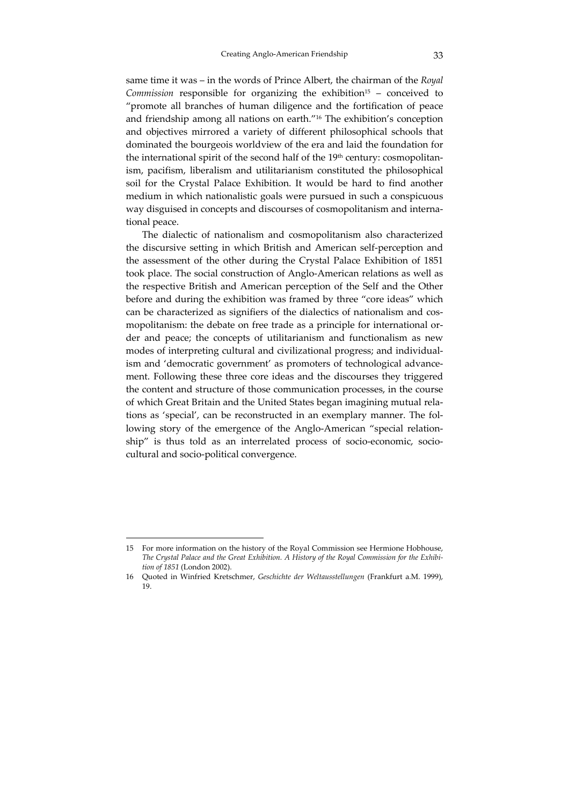same time it was – in the words of Prince Albert, the chairman of the *Royal Commission* responsible for organizing the exhibition<sup>15</sup> – conceived to "promote all branches of human diligence and the fortification of peace and friendship among all nations on earth."16 The exhibition's conception and objectives mirrored a variety of different philosophical schools that dominated the bourgeois worldview of the era and laid the foundation for the international spirit of the second half of the 19<sup>th</sup> century: cosmopolitanism, pacifism, liberalism and utilitarianism constituted the philosophical soil for the Crystal Palace Exhibition. It would be hard to find another medium in which nationalistic goals were pursued in such a conspicuous way disguised in concepts and discourses of cosmopolitanism and international peace.

The dialectic of nationalism and cosmopolitanism also characterized the discursive setting in which British and American self‐perception and the assessment of the other during the Crystal Palace Exhibition of 1851 took place. The social construction of Anglo‐American relations as well as the respective British and American perception of the Self and the Other before and during the exhibition was framed by three "core ideas" which can be characterized as signifiers of the dialectics of nationalism and cosmopolitanism: the debate on free trade as a principle for international order and peace; the concepts of utilitarianism and functionalism as new modes of interpreting cultural and civilizational progress; and individual‐ ism and 'democratic government' as promoters of technological advancement. Following these three core ideas and the discourses they triggered the content and structure of those communication processes, in the course of which Great Britain and the United States began imagining mutual rela‐ tions as 'special', can be reconstructed in an exemplary manner. The fol‐ lowing story of the emergence of the Anglo‐American "special relation‐ ship" is thus told as an interrelated process of socio-economic, sociocultural and socio‐political convergence.

<sup>15</sup> For more information on the history of the Royal Commission see Hermione Hobhouse, *The Crystal Palace and the Great Exhibition. A History of the Royal Commission for the Exhibi‐ tion of 1851* (London 2002).

<sup>16</sup> Quoted in Winfried Kretschmer, *Geschichte der Weltausstellungen* (Frankfurt a.M. 1999), 19.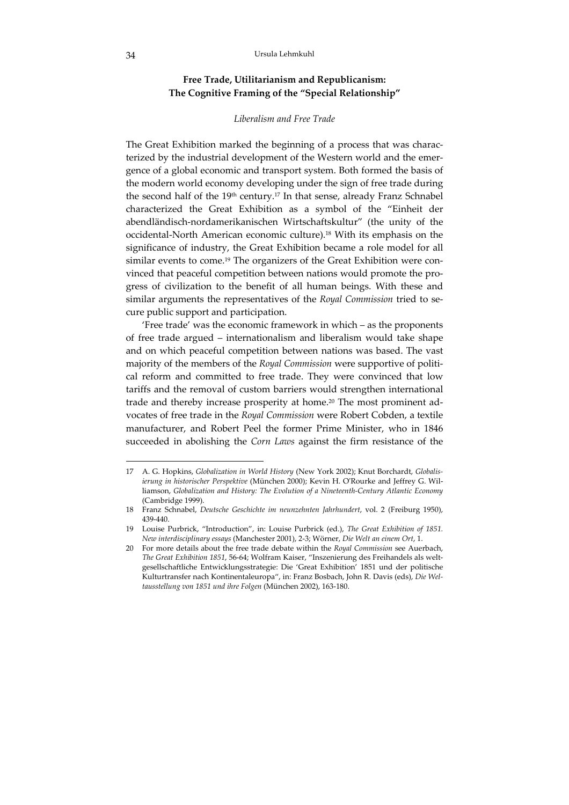### **Free Trade, Utilitarianism and Republicanism: The Cognitive Framing of the "Special Relationship"**

#### *Liberalism and Free Trade*

The Great Exhibition marked the beginning of a process that was charac‐ terized by the industrial development of the Western world and the emergence of a global economic and transport system. Both formed the basis of the modern world economy developing under the sign of free trade during the second half of the  $19<sup>th</sup>$  century.<sup>17</sup> In that sense, already Franz Schnabel characterized the Great Exhibition as a symbol of the "Einheit der abendländisch‐nordamerikanischen Wirtschaftskultur" (the unity of the occidental‐North American economic culture).18 With its emphasis on the significance of industry, the Great Exhibition became a role model for all similar events to come.<sup>19</sup> The organizers of the Great Exhibition were convinced that peaceful competition between nations would promote the pro‐ gress of civilization to the benefit of all human beings. With these and similar arguments the representatives of the *Royal Commission* tried to se‐ cure public support and participation.

'Free trade' was the economic framework in which – as the proponents of free trade argued – internationalism and liberalism would take shape and on which peaceful competition between nations was based. The vast majority of the members of the *Royal Commission* were supportive of political reform and committed to free trade. They were convinced that low tariffs and the removal of custom barriers would strengthen international trade and thereby increase prosperity at home.<sup>20</sup> The most prominent advocates of free trade in the *Royal Commission* were Robert Cobden, a textile manufacturer, and Robert Peel the former Prime Minister, who in 1846 succeeded in abolishing the *Corn Laws* against the firm resistance of the

<sup>17</sup> A. G. Hopkins, *Globalization in World History* (New York 2002); Knut Borchardt, *Globalis‐ ierung in historischer Perspektive* (München 2000); Kevin H. OʹRourke and Jeffrey G. Wil‐ liamson, *Globalization and History: The Evolution of a Nineteenth‐Century Atlantic Economy* (Cambridge 1999).

<sup>18</sup> Franz Schnabel, *Deutsche Geschichte im neunzehnten Jahrhundert*, vol. 2 (Freiburg 1950), 439‐440.

<sup>19</sup> Louise Purbrick, "Introduction", in: Louise Purbrick (ed.), *The Great Exhibition of 1851. New interdisciplinary essays* (Manchester 2001), 2‐3; Wörner, *Die Welt an einem Ort*, 1.

<sup>20</sup> For more details about the free trade debate within the *Royal Commission* see Auerbach, *The Great Exhibition 1851*, 56‐64; Wolfram Kaiser, "Inszenierung des Freihandels als welt‐ gesellschaftliche Entwicklungsstrategie: Die 'Great Exhibition' 1851 und der politische Kulturtransfer nach Kontinentaleuropa", in: Franz Bosbach, John R. Davis (eds), *Die Wel‐ tausstellung von 1851 und ihre Folgen* (München 2002), 163‐180.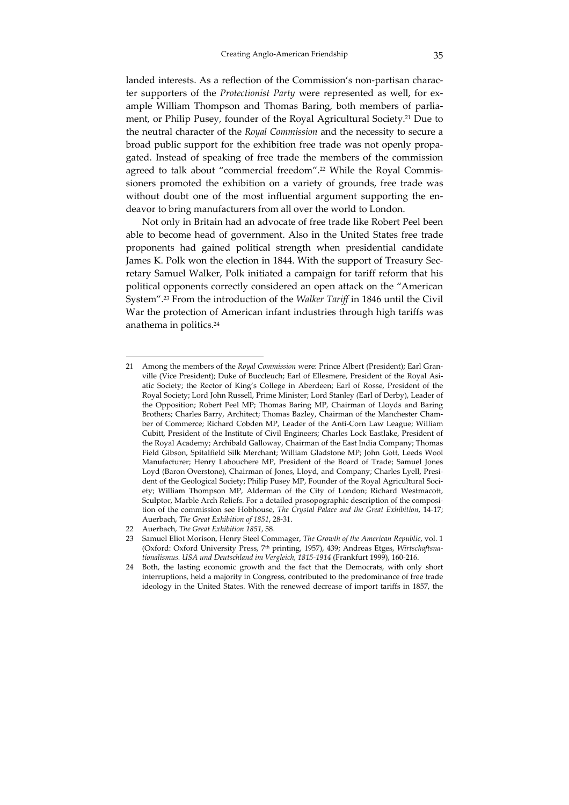landed interests. As a reflection of the Commission's non-partisan character supporters of the *Protectionist Party* were represented as well, for example William Thompson and Thomas Baring, both members of parliament, or Philip Pusey, founder of the Royal Agricultural Society.21 Due to the neutral character of the *Royal Commission* and the necessity to secure a broad public support for the exhibition free trade was not openly propa‐ gated. Instead of speaking of free trade the members of the commission agreed to talk about "commercial freedom".<sup>22</sup> While the Royal Commissioners promoted the exhibition on a variety of grounds, free trade was without doubt one of the most influential argument supporting the endeavor to bring manufacturers from all over the world to London.

Not only in Britain had an advocate of free trade like Robert Peel been able to become head of government. Also in the United States free trade proponents had gained political strength when presidential candidate James K. Polk won the election in 1844. With the support of Treasury Secretary Samuel Walker, Polk initiated a campaign for tariff reform that his political opponents correctly considered an open attack on the "American System".23 From the introduction of the *Walker Tariff* in 1846 until the Civil War the protection of American infant industries through high tariffs was anathema in politics.24

<sup>21</sup> Among the members of the *Royal Commission* were: Prince Albert (President); Earl Gran‐ ville (Vice President); Duke of Buccleuch; Earl of Ellesmere, President of the Royal Asiatic Society; the Rector of King's College in Aberdeen; Earl of Rosse, President of the Royal Society; Lord John Russell, Prime Minister; Lord Stanley (Earl of Derby), Leader of the Opposition; Robert Peel MP; Thomas Baring MP, Chairman of Lloyds and Baring Brothers; Charles Barry, Architect; Thomas Bazley, Chairman of the Manchester Cham‐ ber of Commerce; Richard Cobden MP, Leader of the Anti-Corn Law League; William Cubitt, President of the Institute of Civil Engineers; Charles Lock Eastlake, President of the Royal Academy; Archibald Galloway, Chairman of the East India Company; Thomas Field Gibson, Spitalfield Silk Merchant; William Gladstone MP; John Gott, Leeds Wool Manufacturer; Henry Labouchere MP, President of the Board of Trade; Samuel Jones Loyd (Baron Overstone), Chairman of Jones, Lloyd, and Company; Charles Lyell, President of the Geological Society; Philip Pusey MP, Founder of the Royal Agricultural Society; William Thompson MP, Alderman of the City of London; Richard Westmacott, Sculptor, Marble Arch Reliefs. For a detailed prosopographic description of the composition of the commission see Hobhouse, *The Crystal Palace and the Great Exhibition*, 14‐17; Auerbach, *The Great Exhibition of 1851*, 28‐31.

<sup>22</sup> Auerbach, *The Great Exhibition 1851*, 58.

<sup>23</sup> Samuel Eliot Morison, Henry Steel Commager, *The Growth of the American Republic*, vol. 1 (Oxford: Oxford University Press, 7th printing, 1957), 439; Andreas Etges, *Wirtschaftsna‐ tionalismus. USA und Deutschland im Vergleich, 1815‐1914* (Frankfurt 1999), 160‐216.

<sup>24</sup> Both, the lasting economic growth and the fact that the Democrats, with only short interruptions, held a majority in Congress, contributed to the predominance of free trade ideology in the United States. With the renewed decrease of import tariffs in 1857, the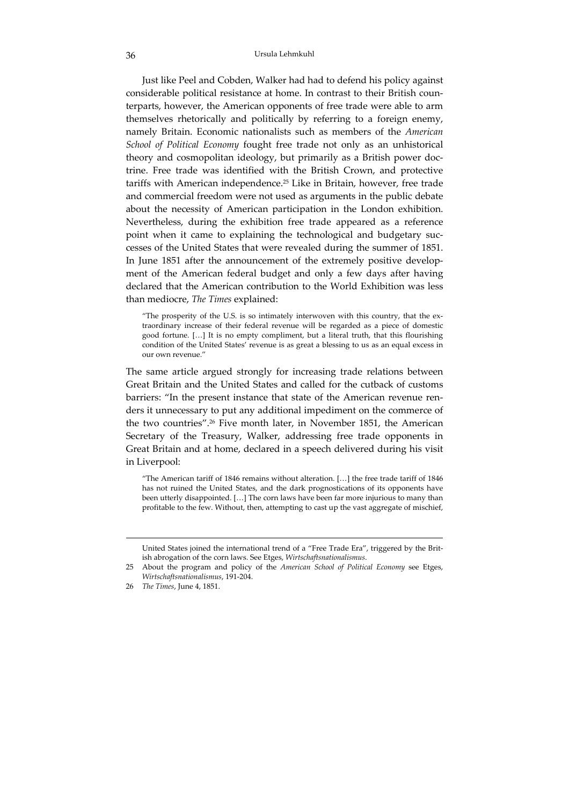Just like Peel and Cobden, Walker had had to defend his policy against considerable political resistance at home. In contrast to their British counterparts, however, the American opponents of free trade were able to arm themselves rhetorically and politically by referring to a foreign enemy, namely Britain. Economic nationalists such as members of the *American School of Political Economy* fought free trade not only as an unhistorical theory and cosmopolitan ideology, but primarily as a British power doc‐ trine. Free trade was identified with the British Crown, and protective tariffs with American independence.25 Like in Britain, however, free trade and commercial freedom were not used as arguments in the public debate about the necessity of American participation in the London exhibition. Nevertheless, during the exhibition free trade appeared as a reference point when it came to explaining the technological and budgetary successes of the United States that were revealed during the summer of 1851. In June 1851 after the announcement of the extremely positive development of the American federal budget and only a few days after having declared that the American contribution to the World Exhibition was less than mediocre, *The Times* explained:

"The prosperity of the U.S. is so intimately interwoven with this country, that the ex‐ traordinary increase of their federal revenue will be regarded as a piece of domestic good fortune. […] It is no empty compliment, but a literal truth, that this flourishing condition of the United States' revenue is as great a blessing to us as an equal excess in our own revenue."

The same article argued strongly for increasing trade relations between Great Britain and the United States and called for the cutback of customs barriers: "In the present instance that state of the American revenue ren‐ ders it unnecessary to put any additional impediment on the commerce of the two countries".26 Five month later, in November 1851, the American Secretary of the Treasury, Walker, addressing free trade opponents in Great Britain and at home, declared in a speech delivered during his visit in Liverpool:

"The American tariff of 1846 remains without alteration. […] the free trade tariff of 1846 has not ruined the United States, and the dark prognostications of its opponents have been utterly disappointed. […] The corn laws have been far more injurious to many than profitable to the few. Without, then, attempting to cast up the vast aggregate of mischief,

United States joined the international trend of a "Free Trade Era", triggered by the Brit‐ ish abrogation of the corn laws. See Etges, *Wirtschaftsnationalismus*.

<sup>25</sup> About the program and policy of the *American School of Political Economy* see Etges, *Wirtschaftsnationalismus*, 191‐204.

<sup>26</sup> *The Times*, June 4, 1851.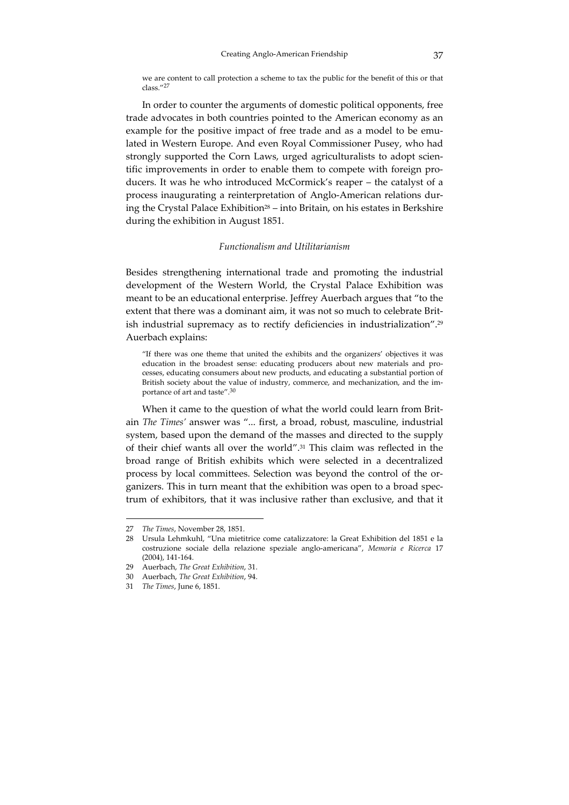we are content to call protection a scheme to tax the public for the benefit of this or that class."<sup>27</sup>

In order to counter the arguments of domestic political opponents, free trade advocates in both countries pointed to the American economy as an example for the positive impact of free trade and as a model to be emulated in Western Europe. And even Royal Commissioner Pusey, who had strongly supported the Corn Laws, urged agriculturalists to adopt scientific improvements in order to enable them to compete with foreign producers. It was he who introduced McCormick's reaper – the catalyst of a process inaugurating a reinterpretation of Anglo‐American relations dur‐ ing the Crystal Palace Exhibition<sup>28</sup> – into Britain, on his estates in Berkshire during the exhibition in August 1851.

### *Functionalism and Utilitarianism*

Besides strengthening international trade and promoting the industrial development of the Western World, the Crystal Palace Exhibition was meant to be an educational enterprise. Jeffrey Auerbach argues that "to the extent that there was a dominant aim, it was not so much to celebrate British industrial supremacy as to rectify deficiencies in industrialization".29 Auerbach explains:

"If there was one theme that united the exhibits and the organizers' objectives it was education in the broadest sense: educating producers about new materials and processes, educating consumers about new products, and educating a substantial portion of British society about the value of industry, commerce, and mechanization, and the im‐ portance of art and taste".30

When it came to the question of what the world could learn from Britain *The Times'* answer was "... first, a broad, robust, masculine, industrial system, based upon the demand of the masses and directed to the supply of their chief wants all over the world".31 This claim was reflected in the broad range of British exhibits which were selected in a decentralized process by local committees. Selection was beyond the control of the or‐ ganizers. This in turn meant that the exhibition was open to a broad spec‐ trum of exhibitors, that it was inclusive rather than exclusive, and that it

<sup>27</sup> *The Times*, November 28, 1851.

<sup>28</sup> Ursula Lehmkuhl, "Una mietitrice come catalizzatore: la Great Exhibition del 1851 e la costruzione sociale della relazione speziale anglo‐americana", *Memoria e Ricerca* 17 (2004), 141‐164.

<sup>29</sup> Auerbach, *The Great Exhibition*, 31.

<sup>30</sup> Auerbach, *The Great Exhibition*, 94.

<sup>31</sup> *The Times*, June 6, 1851.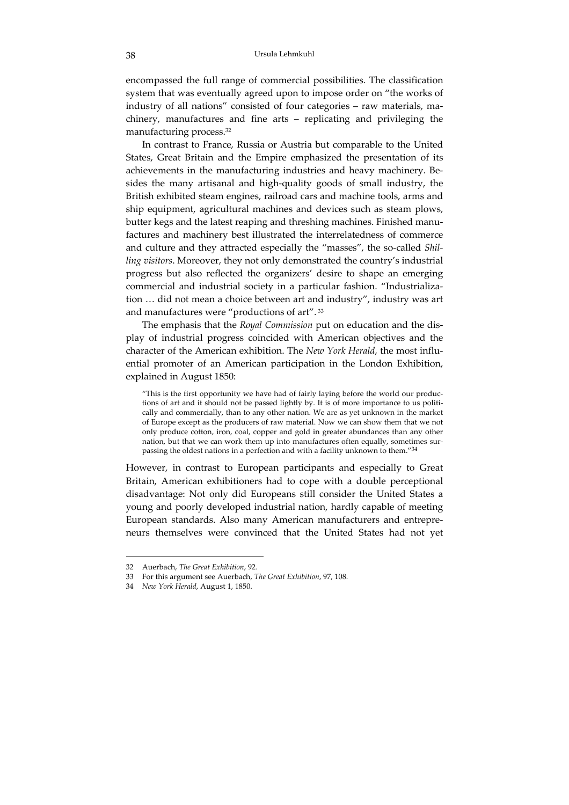encompassed the full range of commercial possibilities. The classification system that was eventually agreed upon to impose order on "the works of industry of all nations" consisted of four categories – raw materials, ma‐ chinery, manufactures and fine arts – replicating and privileging the manufacturing process.32

In contrast to France, Russia or Austria but comparable to the United States, Great Britain and the Empire emphasized the presentation of its achievements in the manufacturing industries and heavy machinery. Be‐ sides the many artisanal and high‐quality goods of small industry, the British exhibited steam engines, railroad cars and machine tools, arms and ship equipment, agricultural machines and devices such as steam plows, butter kegs and the latest reaping and threshing machines. Finished manu‐ factures and machinery best illustrated the interrelatedness of commerce and culture and they attracted especially the "masses", the so-called *Shilling visitors*. Moreover, they not only demonstrated the country's industrial progress but also reflected the organizers' desire to shape an emerging commercial and industrial society in a particular fashion. "Industrializa‐ tion … did not mean a choice between art and industry", industry was art and manufactures were "productions of art". <sup>33</sup>

The emphasis that the *Royal Commission* put on education and the dis‐ play of industrial progress coincided with American objectives and the character of the American exhibition. The *New York Herald*, the most influ‐ ential promoter of an American participation in the London Exhibition, explained in August 1850:

"This is the first opportunity we have had of fairly laying before the world our produc‐ tions of art and it should not be passed lightly by. It is of more importance to us politically and commercially, than to any other nation. We are as yet unknown in the market of Europe except as the producers of raw material. Now we can show them that we not only produce cotton, iron, coal, copper and gold in greater abundances than any other nation, but that we can work them up into manufactures often equally, sometimes sur‐ passing the oldest nations in a perfection and with a facility unknown to them."<sup>34</sup>

However, in contrast to European participants and especially to Great Britain, American exhibitioners had to cope with a double perceptional disadvantage: Not only did Europeans still consider the United States a young and poorly developed industrial nation, hardly capable of meeting European standards. Also many American manufacturers and entrepre‐ neurs themselves were convinced that the United States had not yet

<sup>32</sup> Auerbach, *The Great Exhibition*, 92.

<sup>33</sup> For this argument see Auerbach, *The Great Exhibition*, 97, 108.

<sup>34</sup> *New York Herald*, August 1, 1850.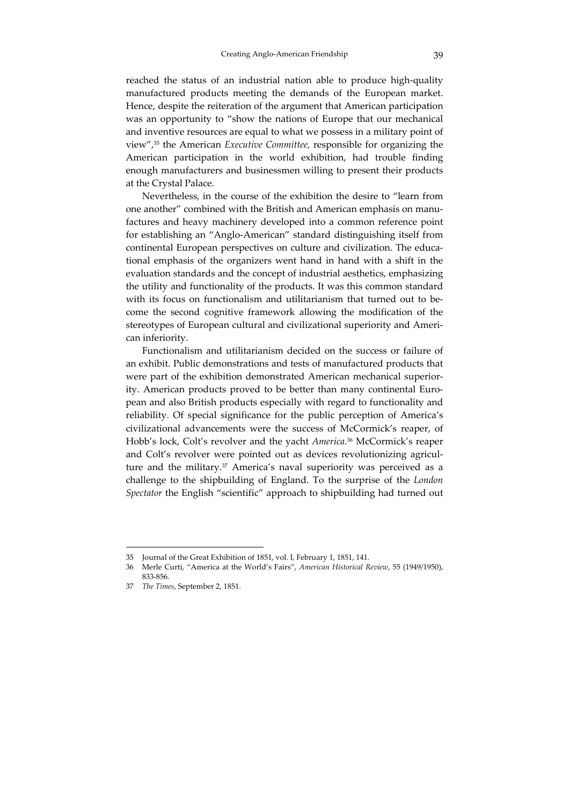reached the status of an industrial nation able to produce high‐quality manufactured products meeting the demands of the European market. Hence, despite the reiteration of the argument that American participation was an opportunity to "show the nations of Europe that our mechanical and inventive resources are equal to what we possess in a military point of view",35 the American *Executive Committee,* responsible for organizing the American participation in the world exhibition, had trouble finding enough manufacturers and businessmen willing to present their products at the Crystal Palace.

Nevertheless, in the course of the exhibition the desire to "learn from one another" combined with the British and American emphasis on manu‐ factures and heavy machinery developed into a common reference point for establishing an "Anglo‐American" standard distinguishing itself from continental European perspectives on culture and civilization. The educational emphasis of the organizers went hand in hand with a shift in the evaluation standards and the concept of industrial aesthetics, emphasizing the utility and functionality of the products. It was this common standard with its focus on functionalism and utilitarianism that turned out to become the second cognitive framework allowing the modification of the stereotypes of European cultural and civilizational superiority and Ameri‐ can inferiority.

Functionalism and utilitarianism decided on the success or failure of an exhibit. Public demonstrations and tests of manufactured products that were part of the exhibition demonstrated American mechanical superiority. American products proved to be better than many continental European and also British products especially with regard to functionality and reliability. Of special significance for the public perception of America's civilizational advancements were the success of McCormick's reaper, of Hobb's lock, Colt's revolver and the yacht *America*. <sup>36</sup> McCormick's reaper and Colt's revolver were pointed out as devices revolutionizing agriculture and the military.37 America's naval superiority was perceived as a challenge to the shipbuilding of England. To the surprise of the *London Spectator* the English "scientific" approach to shipbuilding had turned out

<sup>35</sup> Journal of the Great Exhibition of 1851, vol. I, February 1, 1851, 141.

<sup>36</sup> Merle Curti, "America at the World's Fairs", *American Historical Review*, 55 (1949/1950), 833‐856.

<sup>37</sup> *The Times*, September 2, 1851.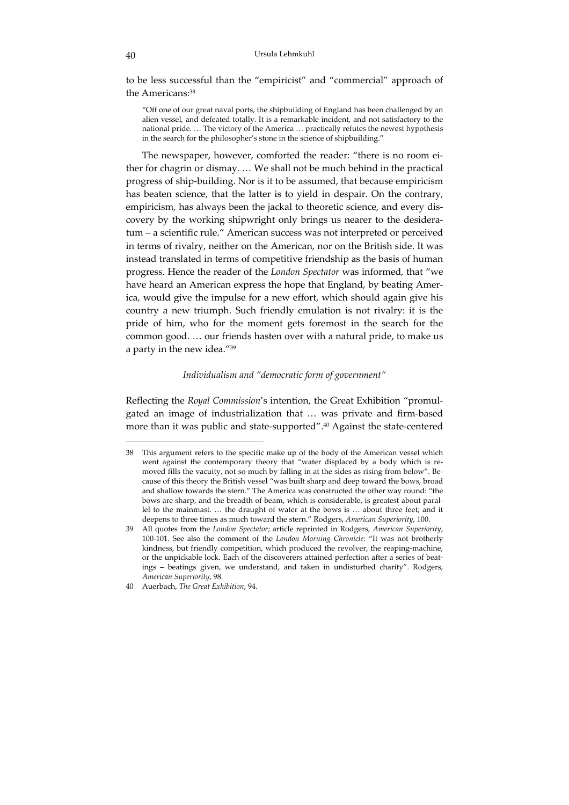to be less successful than the "empiricist" and "commercial" approach of the Americans:38

"Off one of our great naval ports, the shipbuilding of England has been challenged by an alien vessel, and defeated totally. It is a remarkable incident, and not satisfactory to the national pride. … The victory of the America … practically refutes the newest hypothesis in the search for the philosopher's stone in the science of shipbuilding."

The newspaper, however, comforted the reader: "there is no room either for chagrin or dismay. … We shall not be much behind in the practical progress of ship‐building. Nor is it to be assumed, that because empiricism has beaten science, that the latter is to yield in despair. On the contrary, empiricism, has always been the jackal to theoretic science, and every discovery by the working shipwright only brings us nearer to the desideratum – a scientific rule." American success was not interpreted or perceived in terms of rivalry, neither on the American, nor on the British side. It was instead translated in terms of competitive friendship as the basis of human progress. Hence the reader of the *London Spectator* was informed, that "we have heard an American express the hope that England, by beating America, would give the impulse for a new effort, which should again give his country a new triumph. Such friendly emulation is not rivalry: it is the pride of him, who for the moment gets foremost in the search for the common good. … our friends hasten over with a natural pride, to make us a party in the new idea."39

#### *Individualism and "democratic form of government"*

Reflecting the *Royal Commission*'s intention, the Great Exhibition "promul‐ gated an image of industrialization that … was private and firm‐based more than it was public and state‐supported".40 Against the state‐centered

<sup>38</sup> This argument refers to the specific make up of the body of the American vessel which went against the contemporary theory that "water displaced by a body which is removed fills the vacuity, not so much by falling in at the sides as rising from below". Because of this theory the British vessel "was built sharp and deep toward the bows, broad and shallow towards the stern." The America was constructed the other way round: "the bows are sharp, and the breadth of beam, which is considerable, is greatest about parallel to the mainmast. … the draught of water at the bows is … about three feet; and it deepens to three times as much toward the stern." Rodgers, *American Superiority*, 100.

<sup>39</sup> All quotes from the *London Spectator*; article reprinted in Rodgers, *American Superiority*, 100‐101. See also the comment of the *London Morning Chronicle*: "It was not brotherly kindness, but friendly competition, which produced the revolver, the reaping-machine, or the unpickable lock. Each of the discoverers attained perfection after a series of beatings – beatings given, we understand, and taken in undisturbed charity". Rodgers, *American Superiority*, 98.

<sup>40</sup> Auerbach, *The Great Exhibition*, 94.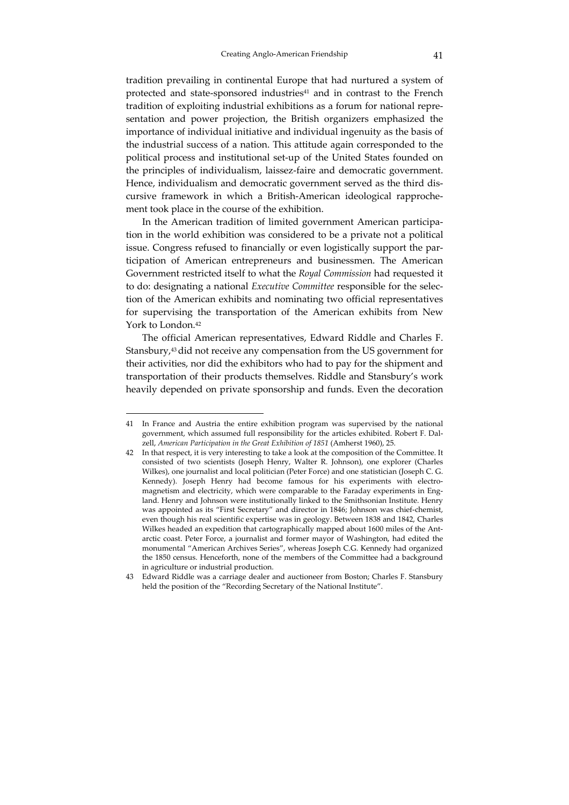tradition prevailing in continental Europe that had nurtured a system of protected and state-sponsored industries<sup>41</sup> and in contrast to the French tradition of exploiting industrial exhibitions as a forum for national repre‐ sentation and power projection, the British organizers emphasized the importance of individual initiative and individual ingenuity as the basis of the industrial success of a nation. This attitude again corresponded to the political process and institutional set‐up of the United States founded on the principles of individualism, laissez‐faire and democratic government. Hence, individualism and democratic government served as the third discursive framework in which a British‐American ideological rapproche‐ ment took place in the course of the exhibition.

In the American tradition of limited government American participation in the world exhibition was considered to be a private not a political issue. Congress refused to financially or even logistically support the participation of American entrepreneurs and businessmen. The American Government restricted itself to what the *Royal Commission* had requested it to do: designating a national *Executive Committee* responsible for the selec‐ tion of the American exhibits and nominating two official representatives for supervising the transportation of the American exhibits from New York to London.42

The official American representatives, Edward Riddle and Charles F. Stansbury,43did not receive any compensation from the US government for their activities, nor did the exhibitors who had to pay for the shipment and transportation of their products themselves. Riddle and Stansbury's work heavily depended on private sponsorship and funds. Even the decoration

<sup>41</sup> In France and Austria the entire exhibition program was supervised by the national government, which assumed full responsibility for the articles exhibited. Robert F. Dalzell, *American Participation in the Great Exhibition of 1851* (Amherst 1960), 25.

<sup>42</sup> In that respect, it is very interesting to take a look at the composition of the Committee. It consisted of two scientists (Joseph Henry, Walter R. Johnson), one explorer (Charles Wilkes), one journalist and local politician (Peter Force) and one statistician (Joseph C. G. Kennedy). Joseph Henry had become famous for his experiments with electromagnetism and electricity, which were comparable to the Faraday experiments in England. Henry and Johnson were institutionally linked to the Smithsonian Institute. Henry was appointed as its "First Secretary" and director in 1846; Johnson was chief‐chemist, even though his real scientific expertise was in geology. Between 1838 and 1842, Charles Wilkes headed an expedition that cartographically mapped about 1600 miles of the Antarctic coast. Peter Force, a journalist and former mayor of Washington, had edited the monumental "American Archives Series", whereas Joseph C.G. Kennedy had organized the 1850 census. Henceforth, none of the members of the Committee had a background in agriculture or industrial production.

<sup>43</sup> Edward Riddle was a carriage dealer and auctioneer from Boston; Charles F. Stansbury held the position of the "Recording Secretary of the National Institute".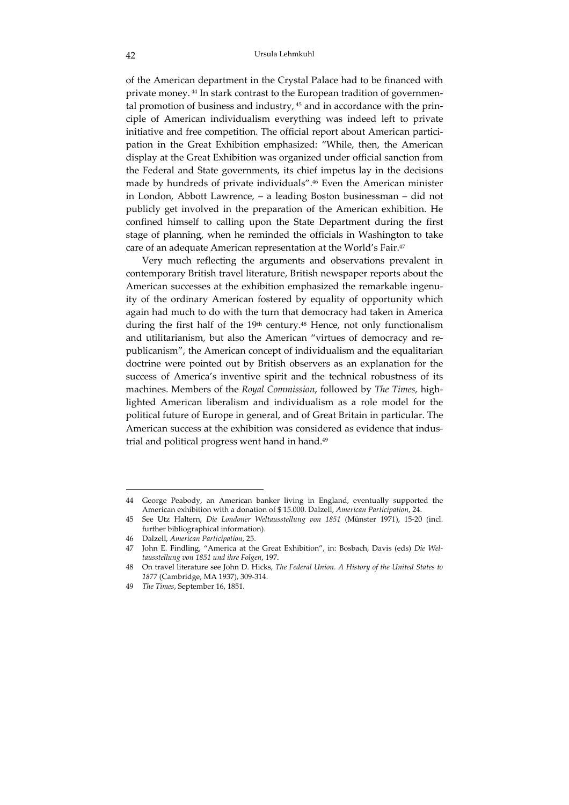of the American department in the Crystal Palace had to be financed with private money. <sup>44</sup> In stark contrast to the European tradition of governmental promotion of business and industry,  $45$  and in accordance with the principle of American individualism everything was indeed left to private initiative and free competition. The official report about American participation in the Great Exhibition emphasized: "While, then, the American display at the Great Exhibition was organized under official sanction from the Federal and State governments, its chief impetus lay in the decisions made by hundreds of private individuals".46 Even the American minister in London, Abbott Lawrence, – a leading Boston businessman – did not publicly get involved in the preparation of the American exhibition. He confined himself to calling upon the State Department during the first stage of planning, when he reminded the officials in Washington to take care of an adequate American representation at the World's Fair.47

Very much reflecting the arguments and observations prevalent in contemporary British travel literature, British newspaper reports about the American successes at the exhibition emphasized the remarkable ingenuity of the ordinary American fostered by equality of opportunity which again had much to do with the turn that democracy had taken in America during the first half of the 19<sup>th</sup> century.<sup>48</sup> Hence, not only functionalism and utilitarianism, but also the American "virtues of democracy and re‐ publicanism", the American concept of individualism and the equalitarian doctrine were pointed out by British observers as an explanation for the success of America's inventive spirit and the technical robustness of its machines. Members of the *Royal Commission*, followed by *The Times,* high‐ lighted American liberalism and individualism as a role model for the political future of Europe in general, and of Great Britain in particular. The American success at the exhibition was considered as evidence that industrial and political progress went hand in hand.<sup>49</sup>

<sup>44</sup> George Peabody, an American banker living in England, eventually supported the American exhibition with a donation of \$ 15.000. Dalzell, *American Participation*, 24.

<sup>45</sup> See Utz Haltern, *Die Londoner Weltausstellung von 1851* (Münster 1971), 15‐20 (incl. further bibliographical information).

<sup>46</sup> Dalzell, *American Participation*, 25.

<sup>47</sup> John E. Findling, "America at the Great Exhibition", in: Bosbach, Davis (eds) *Die Wel‐ tausstellung von 1851 und ihre Folgen*, 197.

<sup>48</sup> On travel literature see John D. Hicks, *The Federal Union. A History of the United States to 1877* (Cambridge, MA 1937), 309‐314.

<sup>49</sup> *The Times*, September 16, 1851.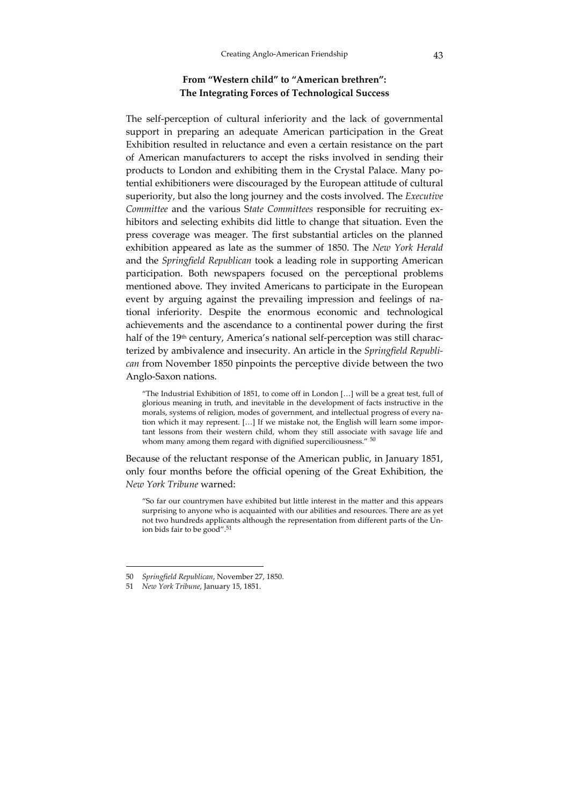## **From "Western child" to "American brethren": The Integrating Forces of Technological Success**

The self-perception of cultural inferiority and the lack of governmental support in preparing an adequate American participation in the Great Exhibition resulted in reluctance and even a certain resistance on the part of American manufacturers to accept the risks involved in sending their products to London and exhibiting them in the Crystal Palace. Many potential exhibitioners were discouraged by the European attitude of cultural superiority, but also the long journey and the costs involved. The *Executive Committee* and the various S*tate Committees* responsible for recruiting ex‐ hibitors and selecting exhibits did little to change that situation. Even the press coverage was meager. The first substantial articles on the planned exhibition appeared as late as the summer of 1850. The *New York Herald* and the *Springfield Republican* took a leading role in supporting American participation. Both newspapers focused on the perceptional problems mentioned above. They invited Americans to participate in the European event by arguing against the prevailing impression and feelings of national inferiority. Despite the enormous economic and technological achievements and the ascendance to a continental power during the first half of the 19<sup>th</sup> century, America's national self-perception was still characterized by ambivalence and insecurity. An article in the *Springfield Republi‐ can* from November 1850 pinpoints the perceptive divide between the two Anglo‐Saxon nations.

"The Industrial Exhibition of 1851, to come off in London […] will be a great test, full of glorious meaning in truth, and inevitable in the development of facts instructive in the morals, systems of religion, modes of government, and intellectual progress of every nation which it may represent. [...] If we mistake not, the English will learn some important lessons from their western child, whom they still associate with savage life and whom many among them regard with dignified superciliousness."  $50$ 

Because of the reluctant response of the American public, in January 1851, only four months before the official opening of the Great Exhibition, the *New York Tribune* warned:

"So far our countrymen have exhibited but little interest in the matter and this appears surprising to anyone who is acquainted with our abilities and resources. There are as yet not two hundreds applicants although the representation from different parts of the Un‐ ion bids fair to be good".<sup>51</sup>

<sup>50</sup> *Springfield Republican*, November 27, 1850.

<sup>51</sup> *New York Tribune*, January 15, 1851.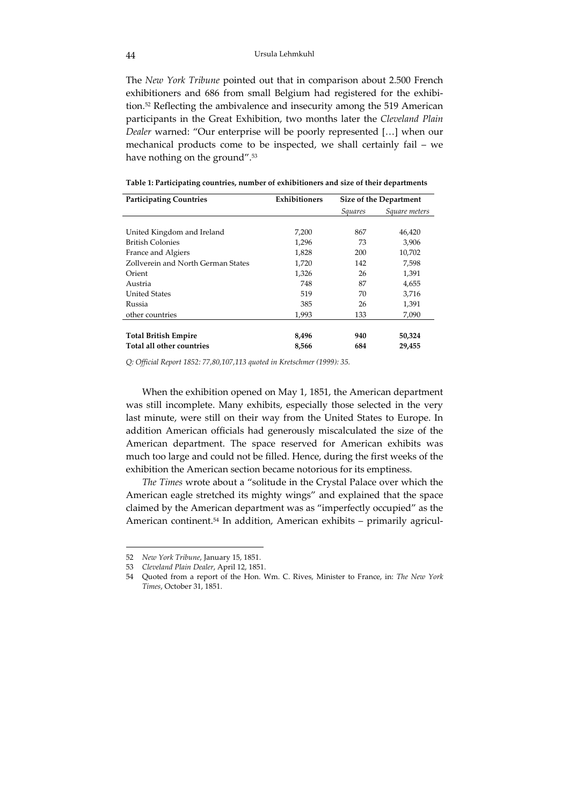The *New York Tribune* pointed out that in comparison about 2.500 French exhibitioners and 686 from small Belgium had registered for the exhibition.52 Reflecting the ambivalence and insecurity among the 519 American participants in the Great Exhibition, two months later the *Cleveland Plain Dealer* warned: "Our enterprise will be poorly represented […] when our mechanical products come to be inspected, we shall certainly fail – we have nothing on the ground".<sup>53</sup>

| <b>Participating Countries</b>     | <b>Exhibitioners</b> | <b>Size of the Department</b> |               |
|------------------------------------|----------------------|-------------------------------|---------------|
|                                    |                      | <i>Squares</i>                | Square meters |
|                                    |                      |                               |               |
| United Kingdom and Ireland         | 7,200                | 867                           | 46,420        |
| <b>British Colonies</b>            | 1,296                | 73                            | 3,906         |
| France and Algiers                 | 1,828                | 200                           | 10,702        |
| Zollverein and North German States | 1,720                | 142                           | 7,598         |
| Orient                             | 1,326                | 26                            | 1,391         |
| Austria                            | 748                  | 87                            | 4,655         |
| <b>United States</b>               | 519                  | 70                            | 3,716         |
| Russia                             | 385                  | 26                            | 1,391         |
| other countries                    | 1,993                | 133                           | 7,090         |
|                                    |                      |                               |               |
| <b>Total British Empire</b>        | 8,496                | 940                           | 50,324        |
| Total all other countries          | 8,566                | 684                           | 29,455        |

**Table 1: Participating countries, number of exhibitioners and size of their departments**

*Q: Official Report 1852: 77,80,107,113 quoted in Kretschmer (1999): 35.*

When the exhibition opened on May 1, 1851, the American department was still incomplete. Many exhibits, especially those selected in the very last minute, were still on their way from the United States to Europe. In addition American officials had generously miscalculated the size of the American department. The space reserved for American exhibits was much too large and could not be filled. Hence, during the first weeks of the exhibition the American section became notorious for its emptiness.

*The Times* wrote about a "solitude in the Crystal Palace over which the American eagle stretched its mighty wings" and explained that the space claimed by the American department was as "imperfectly occupied" as the American continent.<sup>54</sup> In addition, American exhibits – primarily agricul-

<sup>52</sup> *New York Tribune*, January 15, 1851.

<sup>53</sup> *Cleveland Plain Dealer*, April 12, 1851.

<sup>54</sup> Quoted from a report of the Hon. Wm. C. Rives, Minister to France, in: *The New York Times*, October 31, 1851.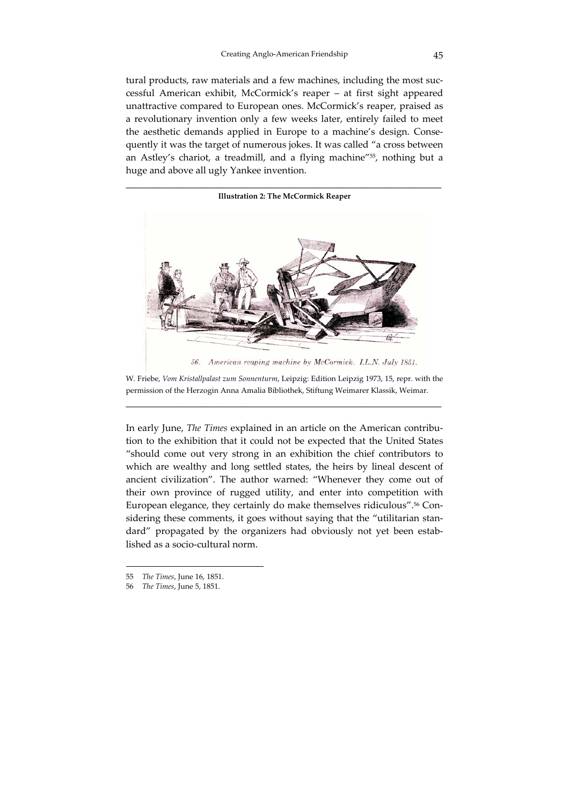tural products, raw materials and a few machines, including the most successful American exhibit, McCormick's reaper – at first sight appeared unattractive compared to European ones. McCormick's reaper, praised as a revolutionary invention only a few weeks later, entirely failed to meet the aesthetic demands applied in Europe to a machine's design. Consequently it was the target of numerous jokes. It was called "a cross between an Astley's chariot, a treadmill, and a flying machine"55, nothing but a huge and above all ugly Yankee invention.



W. Friebe, *Vom Kristallpalast zum Sonnenturm*, Leipzig: Edition Leipzig 1973, 15, repr. with the permission of the Herzogin Anna Amalia Bibliothek, Stiftung Weimarer Klassik, Weimar. \_\_\_\_\_\_\_\_\_\_\_\_\_\_\_\_\_\_\_\_\_\_\_\_\_\_\_\_\_\_\_\_\_\_\_\_\_\_\_\_\_\_\_\_\_\_\_\_\_\_\_\_\_\_\_

In early June, *The Times* explained in an article on the American contribu‐ tion to the exhibition that it could not be expected that the United States "should come out very strong in an exhibition the chief contributors to which are wealthy and long settled states, the heirs by lineal descent of ancient civilization". The author warned: "Whenever they come out of their own province of rugged utility, and enter into competition with European elegance, they certainly do make themselves ridiculous".<sup>56</sup> Considering these comments, it goes without saying that the "utilitarian standard" propagated by the organizers had obviously not yet been established as a socio‐cultural norm.

<sup>55</sup> *The Times*, June 16, 1851.

<sup>56</sup> *The Times*, June 5, 1851.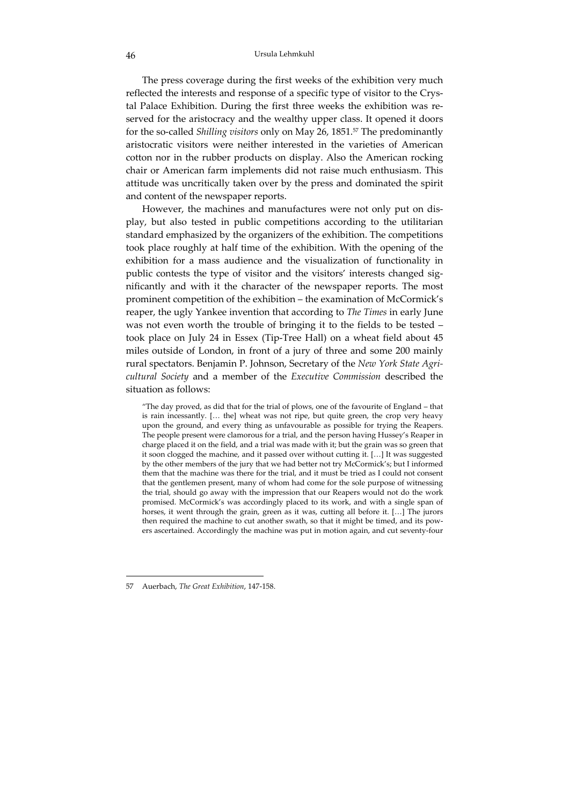The press coverage during the first weeks of the exhibition very much reflected the interests and response of a specific type of visitor to the Crystal Palace Exhibition. During the first three weeks the exhibition was reserved for the aristocracy and the wealthy upper class. It opened it doors for the so‐called *Shilling visitors* only on May 26, 1851.57 The predominantly aristocratic visitors were neither interested in the varieties of American cotton nor in the rubber products on display. Also the American rocking chair or American farm implements did not raise much enthusiasm. This attitude was uncritically taken over by the press and dominated the spirit and content of the newspaper reports.

However, the machines and manufactures were not only put on dis‐ play, but also tested in public competitions according to the utilitarian standard emphasized by the organizers of the exhibition. The competitions took place roughly at half time of the exhibition. With the opening of the exhibition for a mass audience and the visualization of functionality in public contests the type of visitor and the visitors' interests changed significantly and with it the character of the newspaper reports. The most prominent competition of the exhibition – the examination of McCormick's reaper, the ugly Yankee invention that according to *The Times* in early June was not even worth the trouble of bringing it to the fields to be tested – took place on July 24 in Essex (Tip‐Tree Hall) on a wheat field about 45 miles outside of London, in front of a jury of three and some 200 mainly rural spectators. Benjamin P. Johnson, Secretary of the *New York State Agri‐ cultural Society* and a member of the *Executive Commission* described the situation as follows:

"The day proved, as did that for the trial of plows, one of the favourite of England – that is rain incessantly. [… the] wheat was not ripe, but quite green, the crop very heavy upon the ground, and every thing as unfavourable as possible for trying the Reapers. The people present were clamorous for a trial, and the person having Hussey's Reaper in charge placed it on the field, and a trial was made with it; but the grain was so green that it soon clogged the machine, and it passed over without cutting it. […] It was suggested by the other members of the jury that we had better not try McCormick's; but I informed them that the machine was there for the trial, and it must be tried as I could not consent that the gentlemen present, many of whom had come for the sole purpose of witnessing the trial, should go away with the impression that our Reapers would not do the work promised. McCormick's was accordingly placed to its work, and with a single span of horses, it went through the grain, green as it was, cutting all before it. […] The jurors then required the machine to cut another swath, so that it might be timed, and its powers ascertained. Accordingly the machine was put in motion again, and cut seventy‐four

<sup>57</sup> Auerbach, *The Great Exhibition*, 147‐158.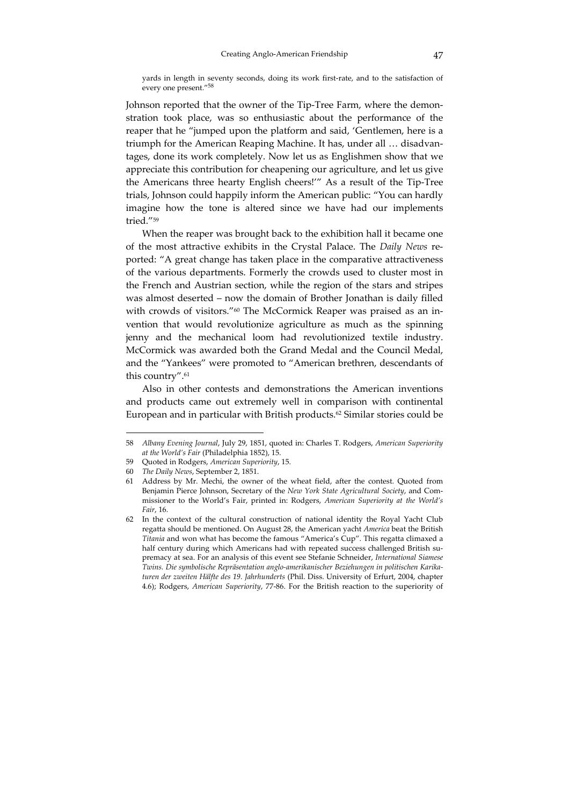yards in length in seventy seconds, doing its work first-rate, and to the satisfaction of every one present."<sup>58</sup>

Johnson reported that the owner of the Tip-Tree Farm, where the demonstration took place, was so enthusiastic about the performance of the reaper that he "jumped upon the platform and said, 'Gentlemen, here is a triumph for the American Reaping Machine. It has, under all ... disadvantages, done its work completely. Now let us as Englishmen show that we appreciate this contribution for cheapening our agriculture, and let us give the Americans three hearty English cheers!'" As a result of the Tip‐Tree trials, Johnson could happily inform the American public: "You can hardly imagine how the tone is altered since we have had our implements tried."59

When the reaper was brought back to the exhibition hall it became one of the most attractive exhibits in the Crystal Palace. The *Daily News* re‐ ported: "A great change has taken place in the comparative attractiveness of the various departments. Formerly the crowds used to cluster most in the French and Austrian section, while the region of the stars and stripes was almost deserted – now the domain of Brother Jonathan is daily filled with crowds of visitors."<sup>60</sup> The McCormick Reaper was praised as an invention that would revolutionize agriculture as much as the spinning jenny and the mechanical loom had revolutionized textile industry. McCormick was awarded both the Grand Medal and the Council Medal, and the "Yankees" were promoted to "American brethren, descendants of this country".61

Also in other contests and demonstrations the American inventions and products came out extremely well in comparison with continental European and in particular with British products.62 Similar stories could be

<sup>58</sup> *Albany Evening Journal*, July 29, 1851, quoted in: Charles T. Rodgers, *American Superiority at the World's Fair* (Philadelphia 1852), 15.

<sup>59</sup> Quoted in Rodgers, *American Superiority*, 15.

<sup>60</sup> *The Daily News*, September 2, 1851.

<sup>61</sup> Address by Mr. Mechi, the owner of the wheat field, after the contest. Quoted from Benjamin Pierce Johnson, Secretary of the *New York State Agricultural Society*, and Com‐ missioner to the World's Fair, printed in: Rodgers, *American Superiority at the World's Fair*, 16.

<sup>62</sup> In the context of the cultural construction of national identity the Royal Yacht Club regatta should be mentioned. On August 28, the American yacht *America* beat the British *Titania* and won what has become the famous "America's Cup". This regatta climaxed a half century during which Americans had with repeated success challenged British supremacy at sea. For an analysis of this event see Stefanie Schneider, *International Siamese Twins. Die symbolische Repräsentation anglo‐amerikanischer Beziehungen in politischen Karika‐ turen der zweiten Hälfte des 19. Jahrhunderts* (Phil. Diss. University of Erfurt, 2004, chapter 4.6); Rodgers, *American Superiority*, 77‐86. For the British reaction to the superiority of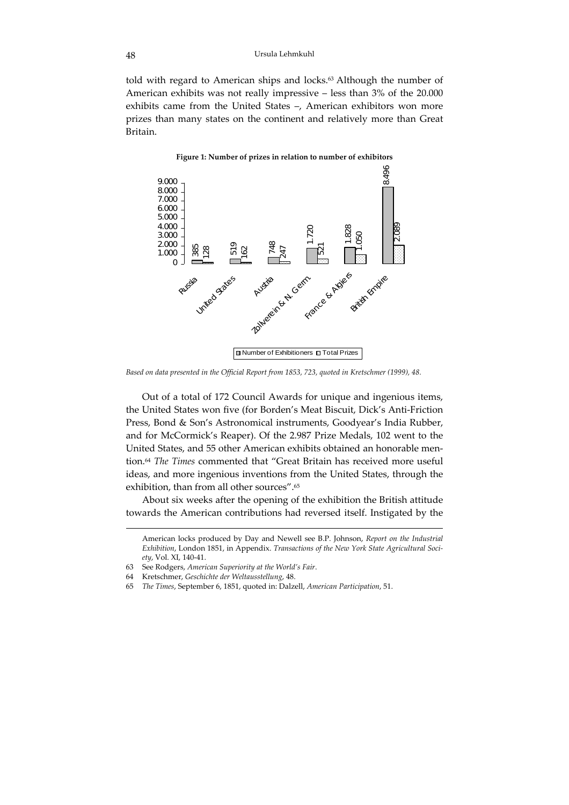told with regard to American ships and locks.<sup>63</sup> Although the number of American exhibits was not really impressive – less than 3% of the 20.000 exhibits came from the United States –, American exhibitors won more prizes than many states on the continent and relatively more than Great Britain.



#### **Figure 1: Number of prizes in relation to number of exhibitors**

*Based on data presented in the Official Report from 1853, 723, quoted in Kretschmer (1999), 48.*

Out of a total of 172 Council Awards for unique and ingenious items, the United States won five (for Borden's Meat Biscuit, Dick's Anti‐Friction Press, Bond & Son's Astronomical instruments, Goodyear's India Rubber, and for McCormick's Reaper). Of the 2.987 Prize Medals, 102 went to the United States, and 55 other American exhibits obtained an honorable men‐ tion.64 *The Times* commented that "Great Britain has received more useful ideas, and more ingenious inventions from the United States, through the exhibition, than from all other sources".65

About six weeks after the opening of the exhibition the British attitude towards the American contributions had reversed itself. Instigated by the

- 63 See Rodgers, *American Superiority at the World's Fair*.
- 64 Kretschmer, *Geschichte der Weltausstellung*, 48.

 $\overline{a}$ 

65 *The Times*, September 6, 1851, quoted in: Dalzell, *American Participation*, 51.

American locks produced by Day and Newell see B.P. Johnson, *Report on the Industrial Exhibition*, London 1851, in Appendix. *Transactions of the New York State Agricultural Soci‐ ety*, Vol. XI, 140‐41.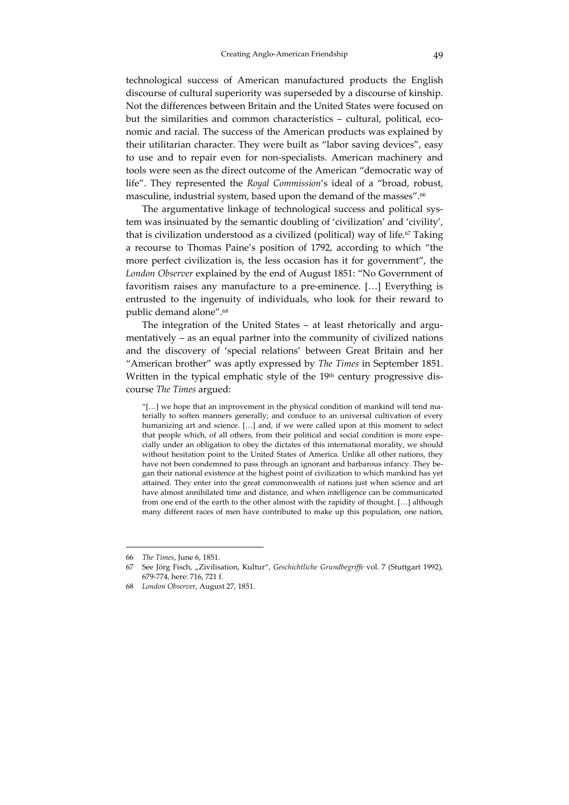technological success of American manufactured products the English discourse of cultural superiority was superseded by a discourse of kinship. Not the differences between Britain and the United States were focused on but the similarities and common characteristics – cultural, political, economic and racial. The success of the American products was explained by their utilitarian character. They were built as "labor saving devices", easy to use and to repair even for non‐specialists. American machinery and tools were seen as the direct outcome of the American "democratic way of life". They represented the *Royal Commission*'s ideal of a "broad, robust, masculine, industrial system, based upon the demand of the masses".<sup>66</sup>

The argumentative linkage of technological success and political sys‐ tem was insinuated by the semantic doubling of 'civilization' and 'civility', that is civilization understood as a civilized (political) way of life.<sup>67</sup> Taking a recourse to Thomas Paine's position of 1792, according to which "the more perfect civilization is, the less occasion has it for government", the *London Observer* explained by the end of August 1851: "No Government of favoritism raises any manufacture to a pre-eminence. [...] Everything is entrusted to the ingenuity of individuals, who look for their reward to public demand alone".68

The integration of the United States – at least rhetorically and argumentatively – as an equal partner into the community of civilized nations and the discovery of 'special relations' between Great Britain and her "American brother" was aptly expressed by *The Times* in September 1851. Written in the typical emphatic style of the 19<sup>th</sup> century progressive discourse *The Times* argued:

"[…] we hope that an improvement in the physical condition of mankind will tend ma‐ terially to soften manners generally; and conduce to an universal cultivation of every humanizing art and science. […] and, if we were called upon at this moment to select that people which, of all others, from their political and social condition is more especially under an obligation to obey the dictates of this international morality, we should without hesitation point to the United States of America. Unlike all other nations, they have not been condemned to pass through an ignorant and barbarous infancy. They began their national existence at the highest point of civilization to which mankind has yet attained. They enter into the great commonwealth of nations just when science and art have almost annihilated time and distance, and when intelligence can be communicated from one end of the earth to the other almost with the rapidity of thought. […] although many different races of men have contributed to make up this population, one nation,

<sup>66</sup> *The Times*, June 6, 1851.

<sup>67</sup> See Jörg Fisch, "Zivilisation, Kultur", *Geschichtliche Grundbegriffe* vol. 7 (Stuttgart 1992), 679‐774, here: 716, 721 f.

<sup>68</sup> *London Observer*, August 27, 1851.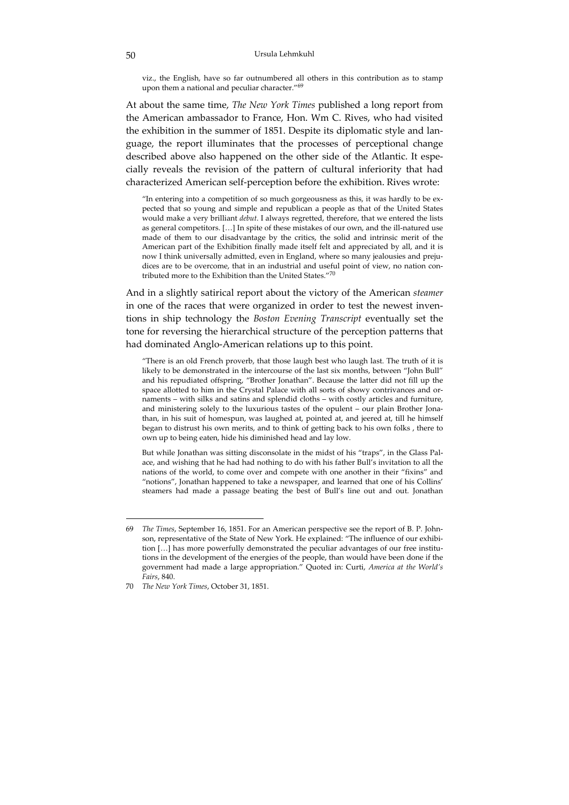viz., the English, have so far outnumbered all others in this contribution as to stamp upon them a national and peculiar character."<sup>69</sup>

At about the same time, *The New York Times* published a long report from the American ambassador to France, Hon. Wm C. Rives, who had visited the exhibition in the summer of 1851. Despite its diplomatic style and language, the report illuminates that the processes of perceptional change described above also happened on the other side of the Atlantic. It especially reveals the revision of the pattern of cultural inferiority that had characterized American self‐perception before the exhibition. Rives wrote:

"In entering into a competition of so much gorgeousness as this, it was hardly to be ex‐ pected that so young and simple and republican a people as that of the United States would make a very brilliant *debut*. I always regretted, therefore, that we entered the lists as general competitors. [...] In spite of these mistakes of our own, and the ill-natured use made of them to our disadvantage by the critics, the solid and intrinsic merit of the American part of the Exhibition finally made itself felt and appreciated by all, and it is now I think universally admitted, even in England, where so many jealousies and prejudices are to be overcome, that in an industrial and useful point of view, no nation contributed more to the Exhibition than the United States."<sup>70</sup>

And in a slightly satirical report about the victory of the American *steamer* in one of the races that were organized in order to test the newest inventions in ship technology the *Boston Evening Transcript* eventually set the tone for reversing the hierarchical structure of the perception patterns that had dominated Anglo‐American relations up to this point.

"There is an old French proverb, that those laugh best who laugh last. The truth of it is likely to be demonstrated in the intercourse of the last six months, between "John Bull" and his repudiated offspring, "Brother Jonathan". Because the latter did not fill up the space allotted to him in the Crystal Palace with all sorts of showy contrivances and ornaments – with silks and satins and splendid cloths – with costly articles and furniture, and ministering solely to the luxurious tastes of the opulent – our plain Brother Jonathan, in his suit of homespun, was laughed at, pointed at, and jeered at, till he himself began to distrust his own merits, and to think of getting back to his own folks , there to own up to being eaten, hide his diminished head and lay low.

But while Jonathan was sitting disconsolate in the midst of his "traps", in the Glass Pal‐ ace, and wishing that he had had nothing to do with his father Bull's invitation to all the nations of the world, to come over and compete with one another in their "fixins" and "notions", Jonathan happened to take a newspaper, and learned that one of his Collins' steamers had made a passage beating the best of Bull's line out and out. Jonathan

<sup>69</sup> *The Times*, September 16, 1851. For an American perspective see the report of B. P. John‐ son, representative of the State of New York. He explained: "The influence of our exhibition [...] has more powerfully demonstrated the peculiar advantages of our free institutions in the development of the energies of the people, than would have been done if the government had made a large appropriation." Quoted in: Curti, *America at the World's Fairs*, 840.

<sup>70</sup> *The New York Times*, October 31, 1851.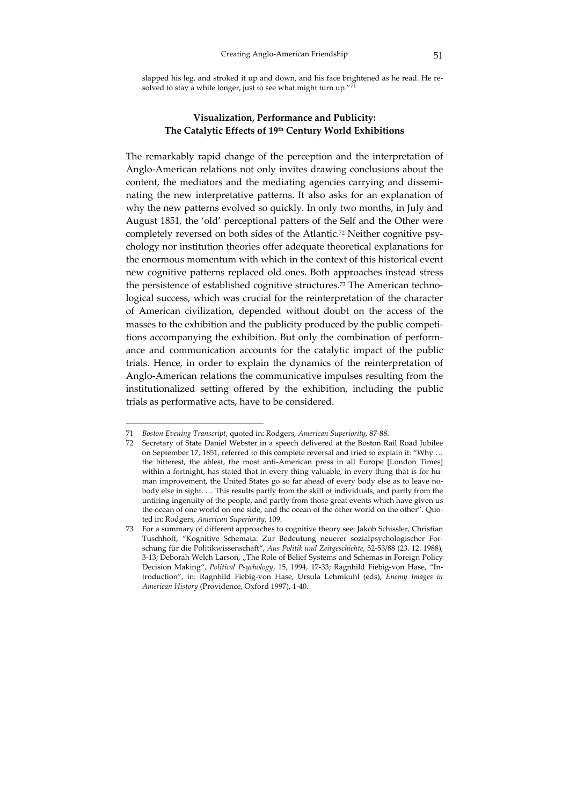slapped his leg, and stroked it up and down, and his face brightened as he read. He resolved to stay a while longer, just to see what might turn up." $\overline{71}$ 

### **Visualization, Performance and Publicity: The Catalytic Effects of 19th Century World Exhibitions**

The remarkably rapid change of the perception and the interpretation of Anglo‐American relations not only invites drawing conclusions about the content, the mediators and the mediating agencies carrying and disseminating the new interpretative patterns. It also asks for an explanation of why the new patterns evolved so quickly. In only two months, in July and August 1851, the 'old' perceptional patters of the Self and the Other were completely reversed on both sides of the Atlantic.<sup>72</sup> Neither cognitive psychology nor institution theories offer adequate theoretical explanations for the enormous momentum with which in the context of this historical event new cognitive patterns replaced old ones. Both approaches instead stress the persistence of established cognitive structures.<sup>73</sup> The American technological success, which was crucial for the reinterpretation of the character of American civilization, depended without doubt on the access of the masses to the exhibition and the publicity produced by the public competitions accompanying the exhibition. But only the combination of perform‐ ance and communication accounts for the catalytic impact of the public trials. Hence, in order to explain the dynamics of the reinterpretation of Anglo‐American relations the communicative impulses resulting from the institutionalized setting offered by the exhibition, including the public trials as performative acts, have to be considered.

<sup>71</sup> *Boston Evening Transcript*, quoted in: Rodgers, *American Superiority*, 87‐88.

<sup>72</sup> Secretary of State Daniel Webster in a speech delivered at the Boston Rail Road Jubilee on September 17, 1851, referred to this complete reversal and tried to explain it: "Why … the bitterest, the ablest, the most anti-American press in all Europe [London Times] within a fortnight, has stated that in every thing valuable, in every thing that is for human improvement, the United States go so far ahead of every body else as to leave nobody else in sight. … This results partly from the skill of individuals, and partly from the untiring ingenuity of the people, and partly from those great events which have given us the ocean of one world on one side, and the ocean of the other world on the other". Quoted in: Rodgers, *American Superiority*, 109.

<sup>73</sup> For a summary of different approaches to cognitive theory see: Jakob Schissler, Christian Tuschhoff, "Kognitive Schemata: Zur Bedeutung neuerer sozialpsychologischer For‐ schung für die Politikwissenschaft", *Aus Politik und Zeitgeschichte*, 52‐53/88 (23. 12. 1988), 3-13; Deborah Welch Larson, "The Role of Belief Systems and Schemas in Foreign Policy Decision Making", *Political Psychology*, 15, 1994, 17‐33; Ragnhild Fiebig‐von Hase, "In‐ troduction", in: Ragnhild Fiebig‐von Hase, Ursula Lehmkuhl (eds), *Enemy Images in American History* (Providence, Oxford 1997), 1‐40.